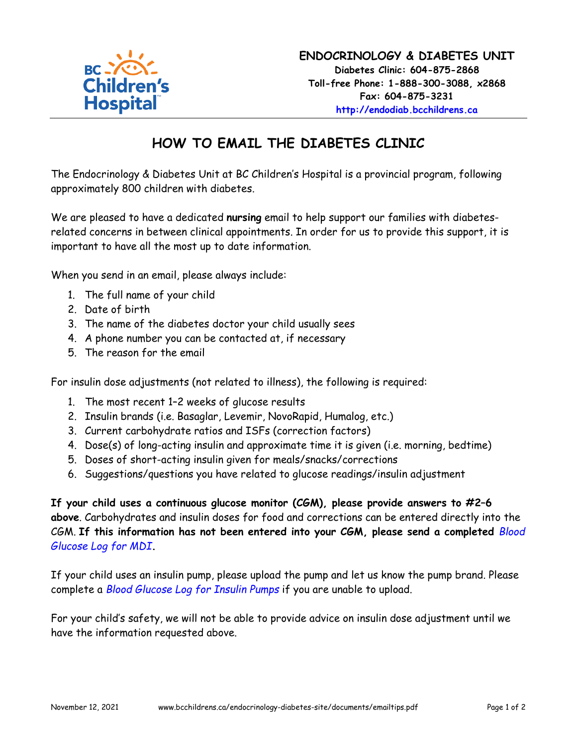

# **HOW TO EMAIL THE DIABETES CLINIC**

The Endocrinology & Diabetes Unit at BC Children's Hospital is a provincial program, following approximately 800 children with diabetes.

We are pleased to have a dedicated **nursing** email to help support our families with diabetesrelated concerns in between clinical appointments. In order for us to provide this support, it is important to have all the most up to date information.

When you send in an email, please always include:

- 1. The full name of your child
- 2. Date of birth
- 3. The name of the diabetes doctor your child usually sees
- 4. A phone number you can be contacted at, if necessary
- 5. The reason for the email

For insulin dose adjustments (not related to illness), the following is required:

- 1. The most recent 1–2 weeks of glucose results
- 2. Insulin brands (i.e. Basaglar, Levemir, NovoRapid, Humalog, etc.)
- 3. Current carbohydrate ratios and ISFs (correction factors)
- 4. Dose(s) of long-acting insulin and approximate time it is given (i.e. morning, bedtime)
- 5. Doses of short-acting insulin given for meals/snacks/corrections
- 6. Suggestions/questions you have related to glucose readings/insulin adjustment

**If your child uses a continuous glucose monitor (CGM), please provide answers to #2–6 above**. Carbohydrates and insulin doses for food and corrections can be entered directly into the CGM. **If this information has not been entered into your CGM, please send a completed** *[Blood](http://www.bcchildrens.ca/endocrinology-diabetes-site/documents/mdilogfill.pdf) [Glucose Log for MDI](http://www.bcchildrens.ca/endocrinology-diabetes-site/documents/mdilogfill.pdf)***.**

If your child uses an insulin pump, please upload the pump and let us know the pump brand. Please complete a *[Blood Glucose Log for Insulin Pumps](http://www.bcchildrens.ca/endocrinology-diabetes-site/documents/pumplogfill.pdf)* if you are unable to upload.

For your child's safety, we will not be able to provide advice on insulin dose adjustment until we have the information requested above.